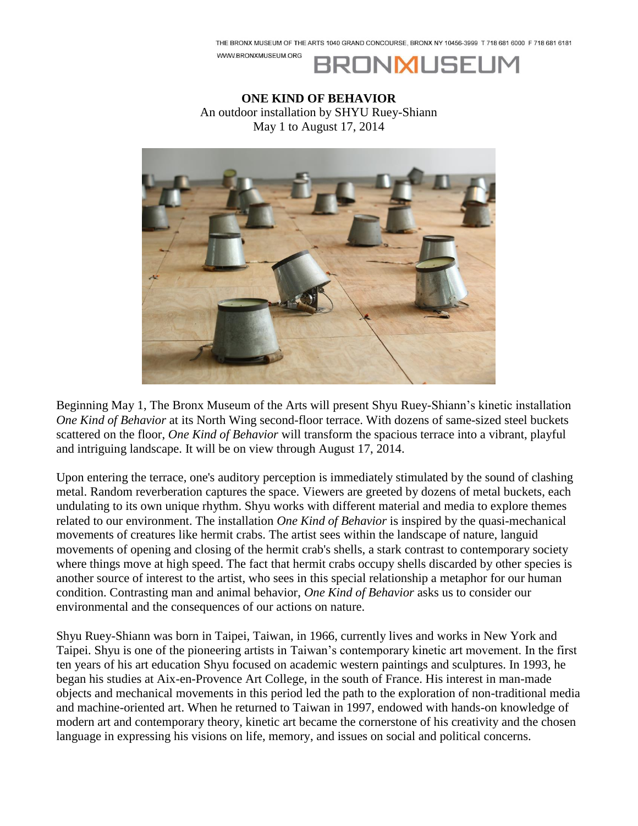WWW.BRONXMUSEUM.ORG



**ONE KIND OF BEHAVIOR** An outdoor installation by SHYU Ruey-Shiann May 1 to August 17, 2014



Beginning May 1, The Bronx Museum of the Arts will present Shyu Ruey-Shiann's kinetic installation *One Kind of Behavior* at its North Wing second-floor terrace. With dozens of same-sized steel buckets scattered on the floor, *One Kind of Behavior* will transform the spacious terrace into a vibrant, playful and intriguing landscape. It will be on view through August 17, 2014.

Upon entering the terrace, one's auditory perception is immediately stimulated by the sound of clashing metal. Random reverberation captures the space. Viewers are greeted by dozens of metal buckets, each undulating to its own unique rhythm. Shyu works with different material and media to explore themes related to our environment. The installation *One Kind of Behavior* is inspired by the quasi-mechanical movements of creatures like hermit crabs. The artist sees within the landscape of nature, languid movements of opening and closing of the hermit crab's shells, a stark contrast to contemporary society where things move at high speed. The fact that hermit crabs occupy shells discarded by other species is another source of interest to the artist, who sees in this special relationship a metaphor for our human condition. Contrasting man and animal behavior, *One Kind of Behavior* asks us to consider our environmental and the consequences of our actions on nature.

Shyu Ruey-Shiann was born in Taipei, Taiwan, in 1966, currently lives and works in New York and Taipei. Shyu is one of the pioneering artists in Taiwan's contemporary kinetic art movement. In the first ten years of his art education Shyu focused on academic western paintings and sculptures. In 1993, he began his studies at Aix-en-Provence Art College, in the south of France. His interest in man-made objects and mechanical movements in this period led the path to the exploration of non-traditional media and machine-oriented art. When he returned to Taiwan in 1997, endowed with hands-on knowledge of modern art and contemporary theory, kinetic art became the cornerstone of his creativity and the chosen language in expressing his visions on life, memory, and issues on social and political concerns.